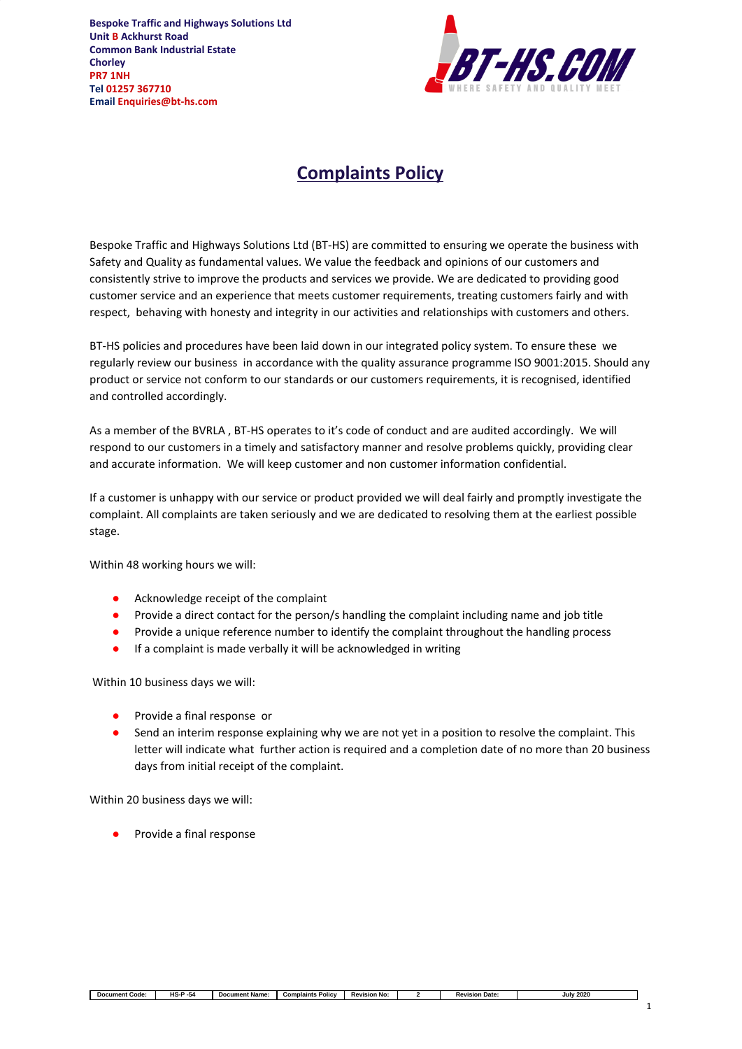**Bespoke Traffic and Highways Solutions Ltd Unit B Ackhurst Road Common Bank Industrial Estate Chorley PR7 1NH Tel 01257 367710 Email Enquiries@bt-hs.com**



## **Complaints Policy**

Bespoke Traffic and Highways Solutions Ltd (BT-HS) are committed to ensuring we operate the business with Safety and Quality as fundamental values. We value the feedback and opinions of our customers and consistently strive to improve the products and services we provide. We are dedicated to providing good customer service and an experience that meets customer requirements, treating customers fairly and with respect, behaving with honesty and integrity in our activities and relationships with customers and others.

BT-HS policies and procedures have been laid down in our integrated policy system. To ensure these we regularly review our business in accordance with the quality assurance programme ISO 9001:2015. Should any product or service not conform to our standards or our customers requirements, it is recognised, identified and controlled accordingly.

As a member of the BVRLA , BT-HS operates to it's code of conduct and are audited accordingly. We will respond to our customers in a timely and satisfactory manner and resolve problems quickly, providing clear and accurate information. We will keep customer and non customer information confidential.

If a customer is unhappy with our service or product provided we will deal fairly and promptly investigate the complaint. All complaints are taken seriously and we are dedicated to resolving them at the earliest possible stage.

Within 48 working hours we will:

- Acknowledge receipt of the complaint
- Provide a direct contact for the person/s handling the complaint including name and job title
- Provide a unique reference number to identify the complaint throughout the handling process
- If a complaint is made verbally it will be acknowledged in writing

Within 10 business days we will:

- Provide a final response or
- Send an interim response explaining why we are not yet in a position to resolve the complaint. This letter will indicate what further action is required and a completion date of no more than 20 business days from initial receipt of the complaint.

Within 20 business days we will:

Provide a final response

| Code:<br>Document | - -<br>.<br>- 54<br>л. | Documen<br>: Name | Complaints<br>Policy | rision No:<br>∼<br>ч. | Date<br>Revision<br>лс, | 2020<br>July ' |
|-------------------|------------------------|-------------------|----------------------|-----------------------|-------------------------|----------------|

1